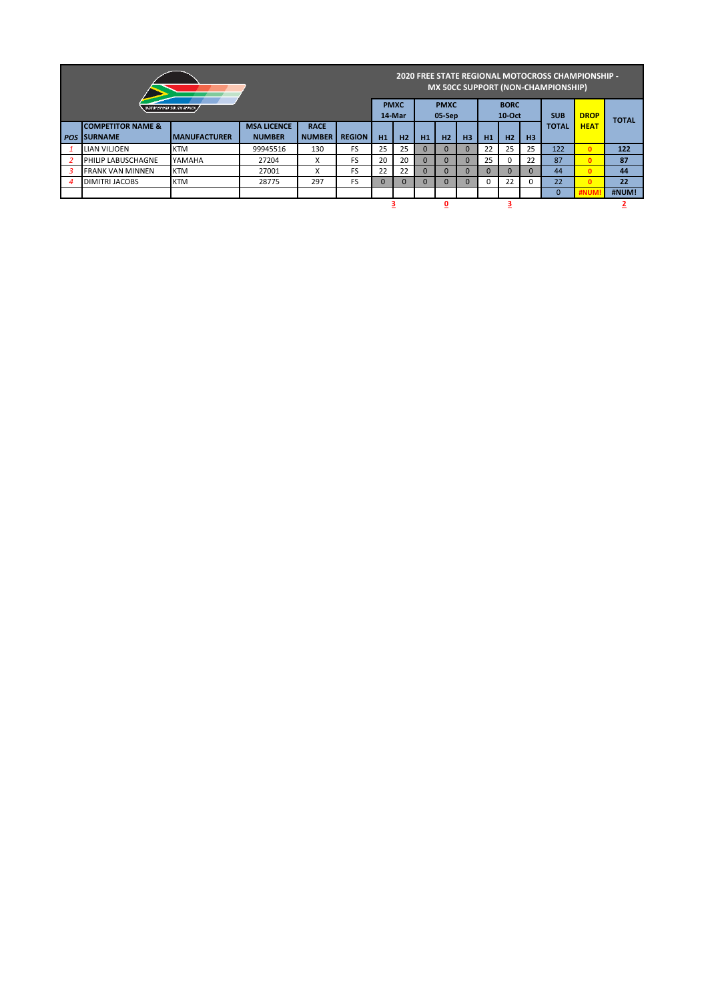|                |                                |                      |               |                           |               |                       |          |    |                         |          | 2020 FREE STATE REGIONAL MOTOCROSS CHAMPIONSHIP -<br><b>MX 50CC SUPPORT (NON-CHAMPIONSHIP)</b> |             |                |          |              |       |
|----------------|--------------------------------|----------------------|---------------|---------------------------|---------------|-----------------------|----------|----|-------------------------|----------|------------------------------------------------------------------------------------------------|-------------|----------------|----------|--------------|-------|
|                | <b>NOTORSPORT SOUTH AFRICA</b> |                      |               | <b>PMXC</b><br>14-Mar     |               | <b>PMXC</b><br>05-Sep |          |    | <b>BORC</b><br>$10-Oct$ |          | <b>SUB</b>                                                                                     | <b>DROP</b> |                |          |              |       |
|                | <b>COMPETITOR NAME &amp;</b>   |                      |               |                           |               |                       |          |    |                         |          | <b>TOTAL</b>                                                                                   | <b>HEAT</b> | <b>TOTAL</b>   |          |              |       |
| <b>POS</b>     | <b>ISURNAME</b>                | <b>IMANUFACTURER</b> | <b>NUMBER</b> | <b>NUMBER</b>             | <b>REGION</b> | H1                    | H2       | H1 | H <sub>2</sub>          | H3       | H1                                                                                             | H2          | H <sub>3</sub> |          |              |       |
|                | <b>LIAN VILJOEN</b>            | <b>KTM</b>           | 99945516      | 130                       | <b>FS</b>     | 25                    | 25       |    |                         | $\Omega$ | 22                                                                                             | 25          | 25             | 122      | $\mathbf{0}$ | 122   |
|                | PHILIP LABUSCHAGNE             | YAMAHA               | 27204         | $\checkmark$<br>$\lambda$ | <b>FS</b>     | 20                    | 20       | 0  | $\Omega$                | $\Omega$ | 25                                                                                             | $\Omega$    | 22             | 87       | $\mathbf{0}$ | 87    |
|                | <b>FRANK VAN MINNEN</b>        | <b>KTM</b>           | 27001         | $\checkmark$              | <b>FS</b>     | 22                    | 22       |    | $\Omega$                | $\Omega$ |                                                                                                | $\Omega$    | $\Omega$       | 44       | $\mathbf{0}$ | 44    |
| $\overline{4}$ | <b>DIMITRI JACOBS</b>          | <b>KTM</b>           | 28775         | 297                       | <b>FS</b>     | $\Omega$              | $\Omega$ |    | $\Omega$                | $\Omega$ |                                                                                                | 22          | $\Omega$       | 22       | $\mathbf{0}$ | 22    |
|                |                                |                      |               |                           |               |                       |          |    |                         |          |                                                                                                |             |                | $\Omega$ |              | #NUM! |
|                |                                |                      |               |                           |               |                       |          |    |                         |          |                                                                                                |             |                |          |              |       |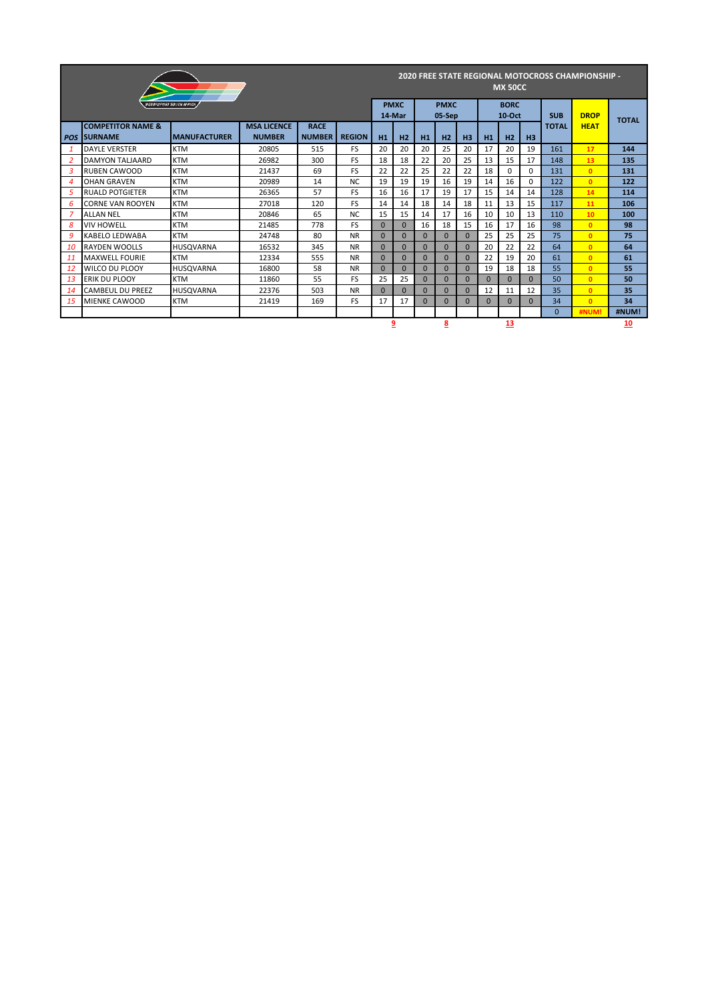| <b>2020 FREE STATE REGIONAL MOTOCROSS CHAMPIONSHIP -</b><br><b>MX 50CC</b> |                                                |                                |                                     |                              |               |          |                |              |                       |                |          |                         |           |              |              |              |
|----------------------------------------------------------------------------|------------------------------------------------|--------------------------------|-------------------------------------|------------------------------|---------------|----------|----------------|--------------|-----------------------|----------------|----------|-------------------------|-----------|--------------|--------------|--------------|
|                                                                            |                                                | <b>NOTORSPORT SOUTH AFRICA</b> |                                     |                              |               | 14-Mar   | <b>PMXC</b>    |              | <b>PMXC</b><br>05-Sep |                |          | <b>BORC</b><br>$10-Oct$ |           | <b>SUB</b>   | <b>DROP</b>  |              |
| <b>POS</b>                                                                 | <b>COMPETITOR NAME &amp;</b><br><b>SURNAME</b> | <b>IMANUFACTURER</b>           | <b>MSA LICENCE</b><br><b>NUMBER</b> | <b>RACE</b><br><b>NUMBER</b> | <b>REGION</b> | H1       | H <sub>2</sub> | H1           | H2                    | H <sub>3</sub> | H1       | H2                      | H3        | <b>TOTAL</b> | <b>HEAT</b>  | <b>TOTAL</b> |
|                                                                            | <b>DAYLE VERSTER</b>                           | <b>KTM</b>                     | 20805                               | 515                          | FS            | 20       | 20             | 20           | 25                    | 20             | 17       | 20                      | 19        | 161          | 17           | 144          |
| 2                                                                          | DAMYON TALJAARD                                | <b>KTM</b>                     | 26982                               | 300                          | FS            | 18       | 18             | 22           | 20                    | 25             | 13       | 15                      | 17        | 148          | 13           | 135          |
| 3                                                                          | <b>RUBEN CAWOOD</b>                            | <b>KTM</b>                     | 21437                               | 69                           | <b>FS</b>     | 22       | 22             | 25           | 22                    | 22             | 18       | $\Omega$                | 0         | 131          | $\mathbf{0}$ | 131          |
| 4                                                                          | <b>OHAN GRAVEN</b>                             | <b>KTM</b>                     | 20989                               | 14                           | <b>NC</b>     | 19       | 19             | 19           | 16                    | 19             | 14       | 16                      | 0         | 122          | $\mathbf{0}$ | 122          |
| 5                                                                          | <b>RUALD POTGIETER</b>                         | <b>KTM</b>                     | 26365                               | 57                           | FS            | 16       | 16             | 17           | 19                    | 17             | 15       | 14                      | 14        | 128          | 14           | 114          |
| 6                                                                          | <b>CORNE VAN ROOYEN</b>                        | <b>KTM</b>                     | 27018                               | 120                          | FS            | 14       | 14             | 18           | 14                    | 18             | 11       | 13                      | 15        | 117          | 11           | 106          |
|                                                                            | <b>ALLAN NEL</b>                               | <b>KTM</b>                     | 20846                               | 65                           | <b>NC</b>     | 15       | 15             | 14           | 17                    | 16             | 10       | 10                      | 13        | 110          | 10           | 100          |
| 8                                                                          | <b>VIV HOWELL</b>                              | <b>KTM</b>                     | 21485                               | 778                          | FS            | $\Omega$ | $\Omega$       | 16           | 18                    | 15             | 16       | 17                      | 16        | 98           | $\mathbf{0}$ | 98           |
| 9                                                                          | KABELO LEDWABA                                 | <b>KTM</b>                     | 24748                               | 80                           | <b>NR</b>     | $\Omega$ | $\Omega$       | $\Omega$     | $\Omega$              | $\Omega$       | 25       | 25                      | 25        | 75           | $\mathbf{0}$ | 75           |
| 10                                                                         | <b>RAYDEN WOOLLS</b>                           | <b>HUSQVARNA</b>               | 16532                               | 345                          | <b>NR</b>     | $\Omega$ | $\Omega$       | $\mathbf{0}$ | $\Omega$              | $\Omega$       | 20       | 22                      | 22        | 64           | $\mathbf{0}$ | 64           |
| 11                                                                         | <b>MAXWELL FOURIE</b>                          | <b>KTM</b>                     | 12334                               | 555                          | <b>NR</b>     | $\Omega$ | $\Omega$       | $\mathbf{0}$ | $\mathbf{0}$          | $\Omega$       | 22       | 19                      | 20        | 61           | $\mathbf{0}$ | 61           |
| 12                                                                         | <b>WILCO DU PLOOY</b>                          | <b>HUSQVARNA</b>               | 16800                               | 58                           | <b>NR</b>     | $\Omega$ | $\Omega$       | $\Omega$     | $\Omega$              | $\Omega$       | 19       | 18                      | 18        | 55           | $\mathbf{0}$ | 55           |
| 13                                                                         | <b>ERIK DU PLOOY</b>                           | <b>KTM</b>                     | 11860                               | 55                           | FS            | 25       | 25             | $\mathbf{0}$ | $\Omega$              | $\Omega$       | $\Omega$ | $\Omega$                | $\Omega$  | 50           | $\mathbf{0}$ | 50           |
| 14                                                                         | <b>CAMBEUL DU PREEZ</b>                        | <b>HUSQVARNA</b>               | 22376                               | 503                          | <b>NR</b>     | $\Omega$ | $\Omega$       | $\Omega$     | $\Omega$              | $\Omega$       | 12       | 11                      | 12        | 35           | $\mathbf{0}$ | 35           |
| 15                                                                         | <b>MIENKE CAWOOD</b>                           | <b>KTM</b>                     | 21419                               | 169                          | FS            | 17       | 17             | $\Omega$     | $\Omega$              | $\Omega$       | $\Omega$ | $\Omega$                | $\Omega$  | 34           | $\mathbf{0}$ | 34           |
|                                                                            |                                                |                                |                                     |                              |               |          |                |              |                       |                |          |                         |           | $\Omega$     | #NUM         | #NUM!        |
| <u>و</u><br>8<br>13                                                        |                                                |                                |                                     |                              |               |          |                |              |                       |                |          |                         | <u>10</u> |              |              |              |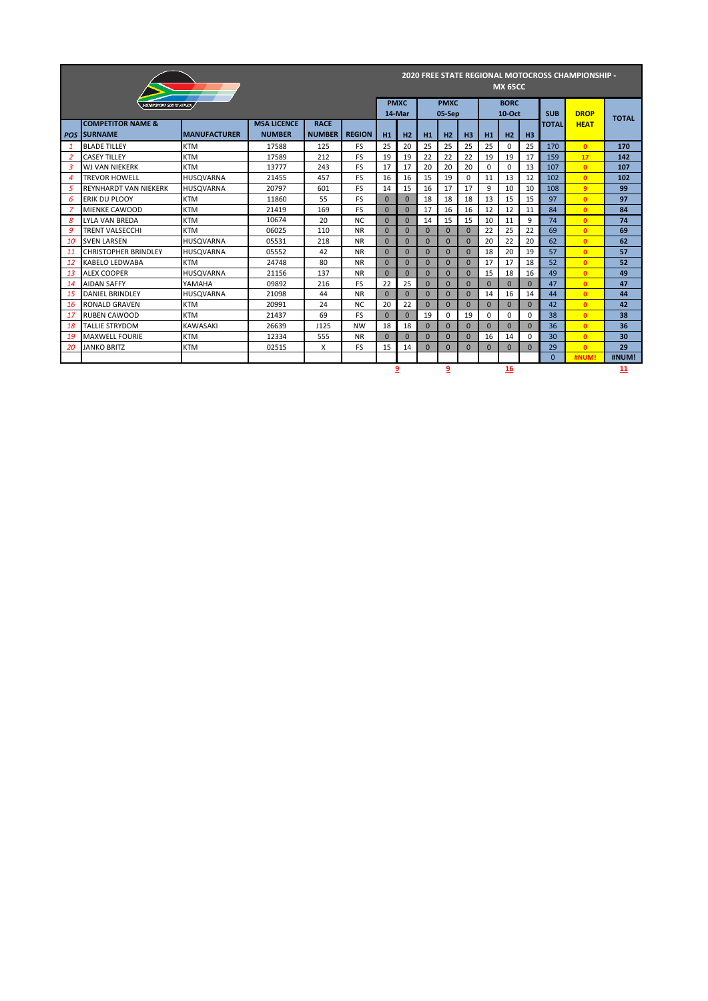|                |                                                |                     |                                     |                              |               |          |             |          | <b>MX 65CC</b>        |                |              | <b>2020 FREE STATE REGIONAL MOTOCROSS CHAMPIONSHIP -</b> |              |              |              |              |
|----------------|------------------------------------------------|---------------------|-------------------------------------|------------------------------|---------------|----------|-------------|----------|-----------------------|----------------|--------------|----------------------------------------------------------|--------------|--------------|--------------|--------------|
|                | NOTORSPORT SOUTH AERICA                        |                     |                                     |                              |               | 14-Mar   | <b>PMXC</b> |          | <b>PMXC</b><br>05-Sep |                |              | <b>BORC</b><br>10-Oct                                    |              | <b>SUB</b>   | <b>DROP</b>  | <b>TOTAL</b> |
| <b>POS</b>     | <b>COMPETITOR NAME &amp;</b><br><b>SURNAME</b> | <b>MANUFACTURER</b> | <b>MSA LICENCE</b><br><b>NUMBER</b> | <b>RACE</b><br><b>NUMBER</b> | <b>REGION</b> | H1       | H2          | H1       | H2                    | H <sub>3</sub> | H1           | H <sub>2</sub>                                           | H3           | <b>TOTAL</b> | <b>HEAT</b>  |              |
| 1              | <b>BLADE TILLEY</b>                            | <b>KTM</b>          | 17588                               | 125                          | <b>FS</b>     | 25       | 20          | 25       | 25                    | 25             | 25           | $\Omega$                                                 | 25           | 170          | $\mathbf{0}$ | 170          |
| 2              | <b>CASEY TILLEY</b>                            | <b>KTM</b>          | 17589                               | 212                          | <b>FS</b>     | 19       | 19          | 22       | 22                    | 22             | 19           | 19                                                       | 17           | 159          | 17           | 142          |
| 3              | <b>WJ VAN NIEKERK</b>                          | <b>KTM</b>          | 13777                               | 243                          | <b>FS</b>     | 17       | 17          | 20       | 20                    | 20             | $\Omega$     | $\Omega$                                                 | 13           | 107          | $\mathbf{0}$ | 107          |
| $\overline{4}$ | <b>TREVOR HOWELL</b>                           | <b>HUSOVARNA</b>    | 21455                               | 457                          | FS            | 16       | 16          | 15       | 19                    | $\Omega$       | 11           | 13                                                       | 12           | 102          | $\mathbf{0}$ | 102          |
| 5              | <b>REYNHARDT VAN NIEKERK</b>                   | HUSQVARNA           | 20797                               | 601                          | FS            | 14       | 15          | 16       | 17                    | 17             | 9            | 10                                                       | 10           | 108          | 9            | 99           |
| 6              | <b>ERIK DU PLOOY</b>                           | <b>KTM</b>          | 11860                               | 55                           | <b>FS</b>     | $\Omega$ | $\Omega$    | 18       | 18                    | 18             | 13           | 15                                                       | 15           | 97           | $\mathbf{0}$ | 97           |
| $\overline{z}$ | MIENKE CAWOOD                                  | <b>KTM</b>          | 21419                               | 169                          | <b>FS</b>     | $\Omega$ | $\Omega$    | 17       | 16                    | 16             | 12           | 12                                                       | 11           | 84           | $\mathbf{0}$ | 84           |
| 8              | <b>LYLA VAN BREDA</b>                          | <b>KTM</b>          | 10674                               | 20                           | <b>NC</b>     | $\Omega$ | $\Omega$    | 14       | 15                    | 15             | 10           | 11                                                       | 9            | 74           | $\mathbf{0}$ | 74           |
| 9              | <b>TRENT VALSECCHI</b>                         | <b>KTM</b>          | 06025                               | 110                          | <b>NR</b>     | $\Omega$ | $\Omega$    | $\Omega$ | $\Omega$              | $\Omega$       | 22           | 25                                                       | 22           | 69           | $\mathbf{0}$ | 69           |
| 10             | <b>SVEN LARSEN</b>                             | <b>HUSOVARNA</b>    | 05531                               | 218                          | <b>NR</b>     | $\Omega$ | $\Omega$    | $\Omega$ | $\Omega$              | $\Omega$       | 20           | 22                                                       | 20           | 62           | $\mathbf{0}$ | 62           |
| 11             | <b>CHRISTOPHER BRINDLEY</b>                    | <b>HUSOVARNA</b>    | 05552                               | 42                           | <b>NR</b>     | $\Omega$ | $\Omega$    | $\Omega$ | $\Omega$              | $\Omega$       | 18           | 20                                                       | 19           | 57           | $\mathbf{0}$ | 57           |
| 12             | KABELO LEDWABA                                 | <b>KTM</b>          | 24748                               | 80                           | <b>NR</b>     | $\Omega$ | $\Omega$    | $\Omega$ | $\Omega$              | $\Omega$       | 17           | 17                                                       | 18           | 52           | $\mathbf{0}$ | 52           |
| 13             | <b>ALEX COOPER</b>                             | <b>HUSOVARNA</b>    | 21156                               | 137                          | <b>NR</b>     | $\Omega$ | $\Omega$    | $\Omega$ | $\Omega$              | $\Omega$       | 15           | 18                                                       | 16           | 49           | $\mathbf{0}$ | 49           |
| 14             | <b>AIDAN SAFFY</b>                             | YAMAHA              | 09892                               | 216                          | <b>FS</b>     | 22       | 25          | $\Omega$ | $\Omega$              | $\Omega$       | $\Omega$     | $\Omega$                                                 | $\Omega$     | 47           | $\mathbf{0}$ | 47           |
| 15             | <b>DANIEL BRINDLEY</b>                         | <b>HUSQVARNA</b>    | 21098                               | 44                           | <b>NR</b>     | $\Omega$ | $\Omega$    | $\Omega$ | $\Omega$              | $\Omega$       | 14           | 16                                                       | 14           | 44           | $\mathbf{0}$ | 44           |
| 16             | <b>RONALD GRAVEN</b>                           | <b>KTM</b>          | 20991                               | 24                           | <b>NC</b>     | 20       | 22          | $\Omega$ | $\Omega$              | $\Omega$       | $\mathbf{0}$ | $\Omega$                                                 | $\mathbf{0}$ | 42           | $\mathbf{0}$ | 42           |
| 17             | <b>RUBEN CAWOOD</b>                            | <b>KTM</b>          | 21437                               | 69                           | <b>FS</b>     | $\Omega$ | $\Omega$    | 19       | $\Omega$              | 19             | $\Omega$     | 0                                                        | $\Omega$     | 38           | $\mathbf{0}$ | 38           |
| 18             | <b>TALLIE STRYDOM</b>                          | <b>KAWASAKI</b>     | 26639                               | J125                         | <b>NW</b>     | 18       | 18          | $\Omega$ | $\Omega$              | $\Omega$       | $\Omega$     | $\Omega$                                                 | $\Omega$     | 36           | $\mathbf{0}$ | 36           |
| 19             | <b>MAXWELL FOURIE</b>                          | <b>KTM</b>          | 12334                               | 555                          | <b>NR</b>     | $\Omega$ | $\Omega$    | $\Omega$ | $\Omega$              | $\Omega$       | 16           | 14                                                       | $\Omega$     | 30           | $\mathbf{0}$ | 30           |
| 20             | <b>JANKO BRITZ</b>                             | <b>KTM</b>          | 02515                               | X                            | FS            | 15       | 14          | $\Omega$ | $\Omega$              | $\Omega$       | $\mathbf{0}$ | $\Omega$                                                 | $\mathbf{0}$ | 29           | $\mathbf{0}$ | 29           |
|                |                                                |                     |                                     |                              |               |          |             |          |                       |                |              |                                                          |              | $\Omega$     | #NUM!        | #NUM!        |
|                |                                                |                     |                                     |                              |               |          | 9           |          | $\overline{9}$        |                |              | 16                                                       |              |              |              | 11           |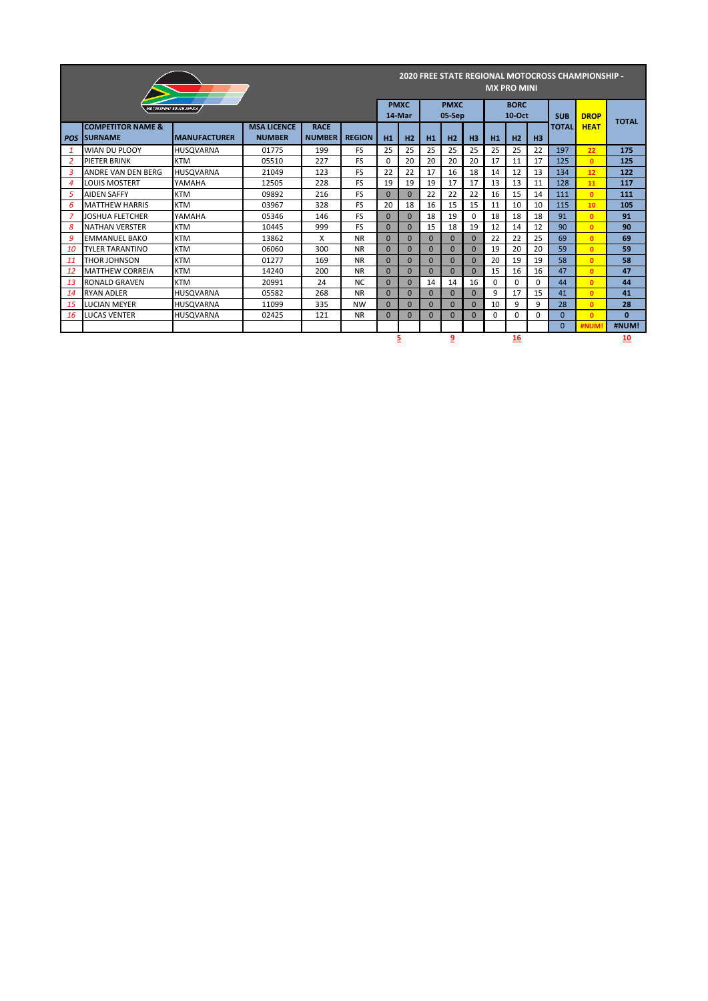|                |                                                 |                                       |       |     |           |              |                       |          | <b>MX PRO MINI</b>    |                |              | <b>2020 FREE STATE REGIONAL MOTOCROSS CHAMPIONSHIP -</b> |              |            |              |          |
|----------------|-------------------------------------------------|---------------------------------------|-------|-----|-----------|--------------|-----------------------|----------|-----------------------|----------------|--------------|----------------------------------------------------------|--------------|------------|--------------|----------|
|                |                                                 | <i><b>NOTORSPORT SOUTH AFRICA</b></i> |       |     |           |              | <b>PMXC</b><br>14-Mar |          | <b>PMXC</b><br>05-Sep |                |              | <b>BORC</b><br>$10-Oct$                                  |              | <b>SUB</b> | <b>DROP</b>  |          |
| <b>POS</b>     | <b>COMPETITOR NAME &amp;</b><br><b>ISURNAME</b> | <b>REGION</b><br><b>NUMBER</b>        | H1    | H2  | H1        | H2           | H <sub>3</sub>        | H1       | H2                    | H <sub>3</sub> | <b>TOTAL</b> | <b>HEAT</b>                                              | <b>TOTAL</b> |            |              |          |
| $\mathbf{1}$   | <b>WIAN DU PLOOY</b>                            | <b>HUSQVARNA</b>                      | 01775 | 199 | <b>FS</b> | 25           | 25                    | 25       | 25                    | 25             | 25           | 25                                                       | 22           | 197        | 22           | 175      |
| 2              | <b>PIETER BRINK</b>                             | <b>KTM</b>                            | 05510 | 227 | <b>FS</b> | <sup>0</sup> | 20                    | 20       | 20                    | 20             | 17           | 11                                                       | 17           | 125        | $\mathbf{0}$ | 125      |
| 3              | ANDRE VAN DEN BERG                              | <b>HUSOVARNA</b>                      | 21049 | 123 | <b>FS</b> | 22           | 22                    | 17       | 16                    | 18             | 14           | 12                                                       | 13           | 134        | 12           | 122      |
| $\overline{4}$ | LOUIS MOSTERT                                   | YAMAHA                                | 12505 | 228 | <b>FS</b> | 19           | 19                    | 19       | 17                    | 17             | 13           | 13                                                       | 11           | 128        | 11           | 117      |
| 5              | <b>AIDEN SAFFY</b>                              | <b>KTM</b>                            | 09892 | 216 | <b>FS</b> | $\Omega$     | $\Omega$              | 22       | 22                    | 22             | 16           | 15                                                       | 14           | 111        | $\mathbf{0}$ | 111      |
| 6              | <b>MATTHEW HARRIS</b>                           | <b>KTM</b>                            | 03967 | 328 | <b>FS</b> | 20           | 18                    | 16       | 15                    | 15             | 11           | 10                                                       | 10           | 115        | 10           | 105      |
| 7              | <b>JOSHUA FLETCHER</b>                          | YAMAHA                                | 05346 | 146 | <b>FS</b> | $\Omega$     | $\Omega$              | 18       | 19                    | 0              | 18           | 18                                                       | 18           | 91         | $\mathbf{0}$ | 91       |
| 8              | <b>NATHAN VERSTER</b>                           | <b>KTM</b>                            | 10445 | 999 | <b>FS</b> | $\Omega$     | $\Omega$              | 15       | 18                    | 19             | 12           | 14                                                       | 12           | 90         | $\mathbf{0}$ | 90       |
| 9              | <b>EMMANUEL BAKO</b>                            | <b>KTM</b>                            | 13862 | X   | <b>NR</b> | $\Omega$     | $\Omega$              | $\Omega$ | $\overline{0}$        | $\Omega$       | 22           | 22                                                       | 25           | 69         | $\mathbf{0}$ | 69       |
| 10             | <b>TYLER TARANTINO</b>                          | <b>KTM</b>                            | 06060 | 300 | <b>NR</b> | $\Omega$     | $\Omega$              | $\Omega$ | $\Omega$              | $\Omega$       | 19           | 20                                                       | 20           | 59         | $\mathbf{0}$ | 59       |
| 11             | <b>THOR JOHNSON</b>                             | <b>KTM</b>                            | 01277 | 169 | <b>NR</b> | $\Omega$     | $\Omega$              | $\Omega$ | $\Omega$              | $\Omega$       | 20           | 19                                                       | 19           | 58         | $\mathbf{0}$ | 58       |
| <b>12</b>      | <b>MATTHEW CORREIA</b>                          | <b>KTM</b>                            | 14240 | 200 | <b>NR</b> | $\Omega$     | $\Omega$              | $\Omega$ | $\Omega$              | $\Omega$       | 15           | 16                                                       | 16           | 47         | $\mathbf{0}$ | 47       |
| 13             | <b>RONALD GRAVEN</b>                            | <b>KTM</b>                            | 20991 | 24  | <b>NC</b> | $\Omega$     | $\Omega$              | 14       | 14                    | 16             | 0            | $\Omega$                                                 | 0            | 44         | $\mathbf{0}$ | 44       |
| 14             | <b>RYAN ADLER</b>                               | <b>HUSOVARNA</b>                      | 05582 | 268 | <b>NR</b> | $\Omega$     | $\Omega$              | $\Omega$ | $\Omega$              | $\Omega$       | 9            | 17                                                       | 15           | 41         | $\mathbf{0}$ | 41       |
| 15             | <b>LUCIAN MEYER</b>                             | <b>HUSOVARNA</b>                      | 11099 | 335 | <b>NW</b> | $\Omega$     | $\Omega$              | $\Omega$ | $\Omega$              | $\Omega$       | 10           | 9                                                        | 9            | 28         | $\mathbf{0}$ | 28       |
| 16             | <b>LUCAS VENTER</b>                             | <b>HUSQVARNA</b>                      | 02425 | 121 | <b>NR</b> | $\Omega$     | $\Omega$              | $\Omega$ | $\Omega$              | $\Omega$       | 0            | 0                                                        | 0            | $\Omega$   | $\mathbf{0}$ | $\bf{0}$ |
|                |                                                 |                                       |       |     |           |              |                       |          |                       |                |              |                                                          |              | $\Omega$   | #NUM         | #NUM!    |
|                |                                                 |                                       |       |     |           |              | 9                     |          |                       | 16             |              |                                                          |              | 10         |              |          |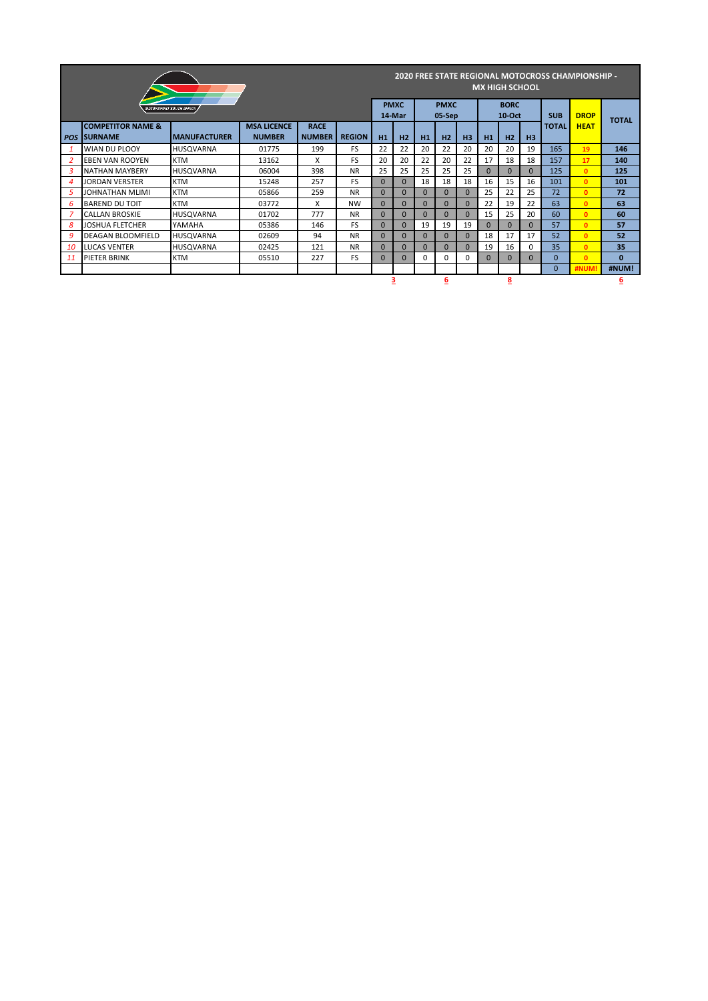|                |                                                    |                                |       |                |           |          |                       | <b>MX HIGH SCHOOL</b> |                       |                |              | <b>2020 FREE STATE REGIONAL MOTOCROSS CHAMPIONSHIP -</b> |              |              |              |              |
|----------------|----------------------------------------------------|--------------------------------|-------|----------------|-----------|----------|-----------------------|-----------------------|-----------------------|----------------|--------------|----------------------------------------------------------|--------------|--------------|--------------|--------------|
|                |                                                    | <b>NOTORSPORT SOUTH AFRICA</b> |       |                |           |          | <b>PMXC</b><br>14-Mar |                       | <b>PMXC</b><br>05-Sep |                |              | <b>BORC</b><br>$10-Oct$                                  |              | <b>SUB</b>   | <b>DROP</b>  |              |
|                | <b>COMPETITOR NAME &amp;</b><br><b>POS SURNAME</b> | <b>REGION</b>                  | H1    | H <sub>2</sub> | H1        | H2       | H <sub>3</sub>        | H1                    | H2                    | H <sub>3</sub> | <b>TOTAL</b> | <b>HEAT</b>                                              | <b>TOTAL</b> |              |              |              |
|                | <b>WIAN DU PLOOY</b>                               | <b>HUSOVARNA</b>               | 01775 | 199            | <b>FS</b> | 22       | 22                    | 20                    | 22                    | 20             | 20           | 20                                                       | 19           | 165          | 19           | 146          |
| 2              | <b>EBEN VAN ROOYEN</b>                             | <b>KTM</b>                     | 13162 | X              | <b>FS</b> | 20       | 20                    | 22                    | 20                    | 22             | 17           | 18                                                       | 18           | 157          | 17           | 140          |
| 3              | <b>NATHAN MAYBERY</b>                              | <b>HUSOVARNA</b>               | 06004 | 398            | <b>NR</b> | 25       | 25                    | 25                    | 25                    | 25             | $\Omega$     | $\overline{0}$                                           | $\Omega$     | 125          | $\Omega$     | 125          |
| $\overline{4}$ | <b>JORDAN VERSTER</b>                              | <b>KTM</b>                     | 15248 | 257            | <b>FS</b> | $\Omega$ | $\Omega$              | 18                    | 18                    | 18             | 16           | 15                                                       | 16           | 101          | $\mathbf{0}$ | 101          |
| 5              | JOHNATHAN MLIMI                                    | <b>KTM</b>                     | 05866 | 259            | <b>NR</b> | $\Omega$ | $\Omega$              | $\Omega$              | $\Omega$              | $\Omega$       | 25           | 22                                                       | 25           | 72           | $\Omega$     | 72           |
| 6              | <b>BAREND DU TOIT</b>                              | <b>KTM</b>                     | 03772 | X              | <b>NW</b> | $\Omega$ | $\Omega$              | $\Omega$              | $\Omega$              | $\Omega$       | 22           | 19                                                       | 22           | 63           | $\Omega$     | 63           |
|                | <b>CALLAN BROSKIE</b>                              | <b>HUSQVARNA</b>               | 01702 | 777            | <b>NR</b> | $\Omega$ | $\Omega$              | $\Omega$              |                       | $\Omega$       | 15           | 25                                                       | 20           | 60           | $\Omega$     | 60           |
| 8              | <b>JOSHUA FLETCHER</b>                             | YAMAHA                         | 05386 | 146            | <b>FS</b> | $\Omega$ | $\Omega$              | 19                    | 19                    | 19             | $\Omega$     | $\Omega$                                                 | $\Omega$     | 57           | $\mathbf{0}$ | 57           |
| 9              | <b>DEAGAN BLOOMFIELD</b>                           | <b>HUSOVARNA</b>               | 02609 | 94             | <b>NR</b> | $\Omega$ | $\Omega$              | $\Omega$              | $\Omega$              | $\Omega$       | 18           | 17                                                       | 17           | 52           | $\Omega$     | 52           |
| 10             | <b>LUCAS VENTER</b>                                | <b>HUSOVARNA</b>               | 02425 | 121            | <b>NR</b> | $\Omega$ | $\Omega$              | $\Omega$              | $\Omega$              | $\Omega$       | 19           | 16                                                       | 0            | 35           | $\Omega$     | 35           |
| 11             | <b>PIETER BRINK</b>                                | <b>KTM</b>                     | 05510 | 227            | <b>FS</b> | $\Omega$ | $\Omega$              | 0                     | 0                     | $\Omega$       | $\Omega$     | $\Omega$                                                 | $\Omega$     | $\Omega$     | $\mathbf{0}$ | $\mathbf{0}$ |
|                |                                                    |                                |       |                |           |          |                       |                       |                       |                |              |                                                          |              | $\mathbf{0}$ | <b>#NUM</b>  | #NUM!        |
|                |                                                    |                                |       |                |           | 6        |                       |                       | <u>8</u>              |                |              |                                                          | 6            |              |              |              |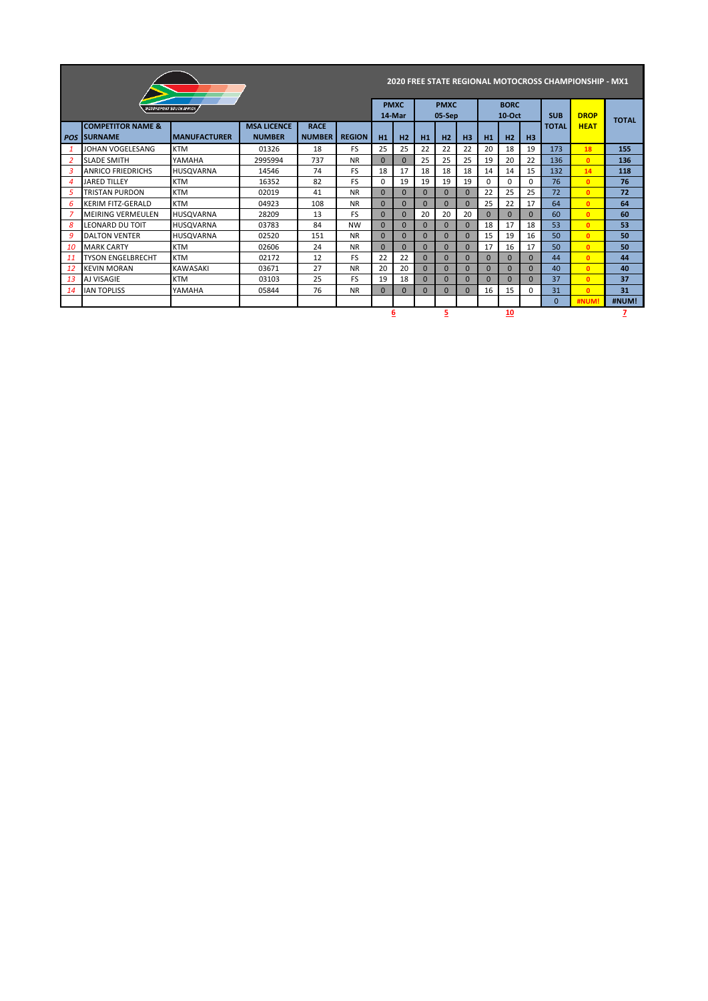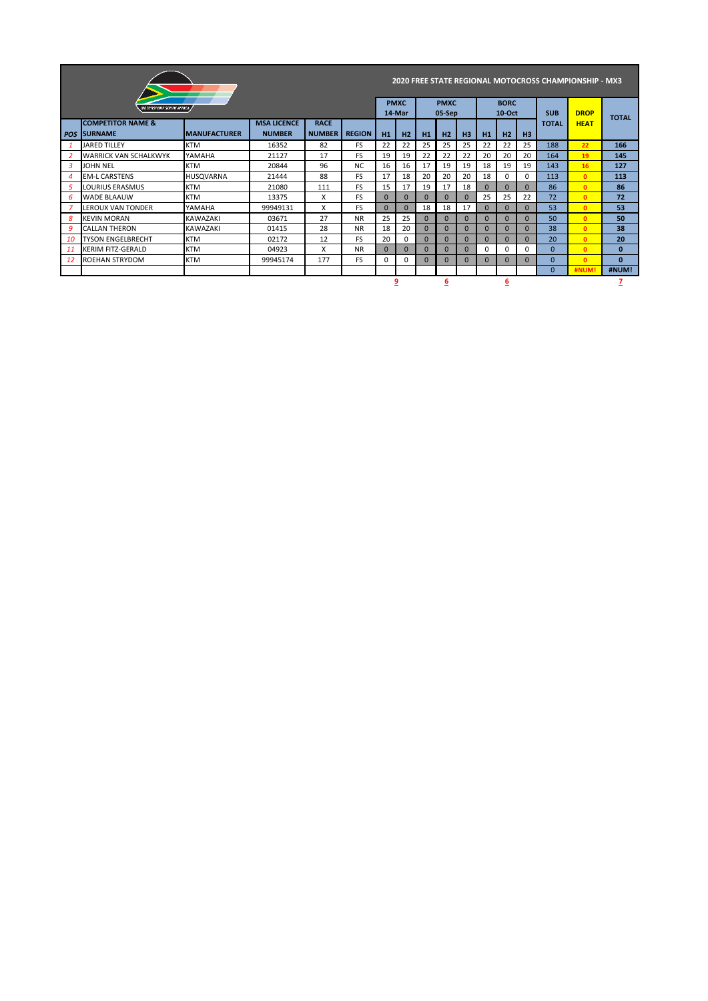|                |                                                |                      |                                     |                              |               |          |                       |          |                       |                |          | <b>2020 FREE STATE REGIONAL MOTOCROSS CHAMPIONSHIP - MX3</b> |                |              |              |              |
|----------------|------------------------------------------------|----------------------|-------------------------------------|------------------------------|---------------|----------|-----------------------|----------|-----------------------|----------------|----------|--------------------------------------------------------------|----------------|--------------|--------------|--------------|
|                | <b>MOTORSPORT SOUTH AFRICA</b>                 |                      |                                     |                              |               |          | <b>PMXC</b><br>14-Mar |          | <b>PMXC</b><br>05-Sep |                |          | <b>BORC</b><br>$10$ -Oct                                     |                | <b>SUB</b>   | <b>DROP</b>  |              |
| <b>POS</b>     | <b>COMPETITOR NAME &amp;</b><br><b>SURNAME</b> | <b>IMANUFACTURER</b> | <b>MSA LICENCE</b><br><b>NUMBER</b> | <b>RACE</b><br><b>NUMBER</b> | <b>REGION</b> | H1       | H <sub>2</sub>        | H1       | H2                    | H <sub>3</sub> | H1       | H <sub>2</sub>                                               | H <sub>3</sub> | <b>TOTAL</b> | <b>HEAT</b>  | <b>TOTAL</b> |
| -1             | <b>JARED TILLEY</b>                            | <b>KTM</b>           | 16352                               | 82                           | FS.           | 22       | 22                    | 25       | 25                    | 25             | 22       | 22                                                           | 25             | 188          | 22           | 166          |
| $\overline{2}$ | <b>WARRICK VAN SCHALKWYK</b>                   | YAMAHA               | 21127                               | 17                           | FS.           | 19       | 19                    | 22       | 22                    | 22             | 20       | 20                                                           | 20             | 164          | 19           | 145          |
| 3              | <b>JOHN NEL</b>                                | <b>KTM</b>           | 20844                               | 96                           | NC.           | 16       | 16                    | 17       | 19                    | 19             | 18       | 19                                                           | 19             | 143          | 16           | 127          |
| 4              | <b>EM-L CARSTENS</b>                           | <b>HUSOVARNA</b>     | 21444                               | 88                           | FS.           | 17       | 18                    | 20       | 20                    | 20             | 18       | 0                                                            | $\Omega$       | 113          | $\mathbf{0}$ | 113          |
| 5              | LOURIUS ERASMUS                                | <b>KTM</b>           | 21080                               | 111                          | FS.           | 15       | 17                    | 19       | 17                    | 18             | $\Omega$ | $\Omega$                                                     | $\Omega$       | 86           | $\mathbf{0}$ | 86           |
| 6              | <b>WADE BLAAUW</b>                             | <b>KTM</b>           | 13375                               | x                            | FS.           | $\Omega$ | $\Omega$              | $\Omega$ | $\Omega$              | $\Omega$       | 25       | 25                                                           | 22             | 72           | $\mathbf{0}$ | 72           |
|                | <b>LEROUX VAN TONDER</b>                       | YAMAHA               | 99949131                            | x                            | FS.           | $\Omega$ | $\Omega$              | 18       | 18                    | 17             | $\Omega$ | $\Omega$                                                     | $\Omega$       | 53           | $\mathbf{0}$ | 53           |
| 8              | <b>KEVIN MORAN</b>                             | <b>KAWAZAKI</b>      | 03671                               | 27                           | <b>NR</b>     | 25       | 25                    | $\Omega$ | $\Omega$              | $\Omega$       | $\Omega$ | $\Omega$                                                     | $\Omega$       | 50           | $\mathbf{0}$ | 50           |
| 9              | <b>CALLAN THERON</b>                           | <b>KAWAZAKI</b>      | 01415                               | 28                           | <b>NR</b>     | 18       | 20                    | $\Omega$ | $\Omega$              | $\Omega$       | $\Omega$ | $\Omega$                                                     | $\Omega$       | 38           | $\mathbf{0}$ | 38           |
| 10             | <b>TYSON ENGELBRECHT</b>                       | <b>KTM</b>           | 02172                               | 12                           | <b>FS</b>     | 20       | 0                     | $\Omega$ | $\Omega$              | $\Omega$       | $\Omega$ | $\Omega$                                                     | $\Omega$       | 20           | $\Omega$     | 20           |
| 11             | <b>KERIM FITZ-GERALD</b>                       | <b>KTM</b>           | 04923                               | x                            | <b>NR</b>     | $\Omega$ | $\Omega$              | $\Omega$ | $\Omega$              | $\Omega$       | $\Omega$ | 0                                                            | $\Omega$       | $\Omega$     | $\mathbf{0}$ | $\bf{0}$     |
| 12             | <b>ROEHAN STRYDOM</b>                          | <b>KTM</b>           | 99945174                            | 177                          | FS.           | $\Omega$ | 0                     | $\Omega$ | $\Omega$              | $\Omega$       | $\Omega$ | $\Omega$                                                     | $\Omega$       | $\Omega$     | $\Omega$     | $\bf{0}$     |
|                |                                                |                      |                                     |                              |               |          |                       |          |                       |                |          |                                                              |                | $\Omega$     | #NUM!        | #NUM!        |
|                |                                                |                      |                                     |                              |               |          | 9                     |          | 6                     |                |          | 6                                                            |                |              |              |              |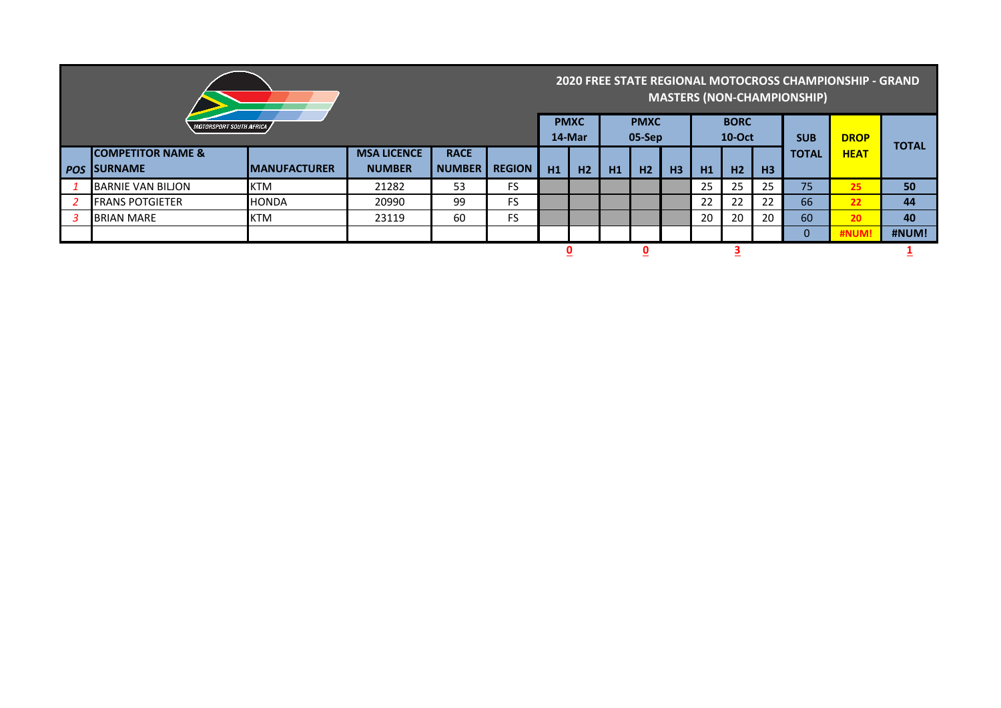|            |                                       |                      |                    |               |               |             |                |    |                       |    | <b>MASTERS (NON-CHAMPIONSHIP)</b> | 2020 FREE STATE REGIONAL MOTOCROSS CHAMPIONSHIP - GRAND |                |              |             |              |
|------------|---------------------------------------|----------------------|--------------------|---------------|---------------|-------------|----------------|----|-----------------------|----|-----------------------------------|---------------------------------------------------------|----------------|--------------|-------------|--------------|
|            | <i><b>MOTORSPORT SOUTH AFRICA</b></i> |                      |                    |               |               | <b>PMXC</b> | 14-Mar         |    | <b>PMXC</b><br>05-Sep |    |                                   | <b>BORC</b><br><b>10-Oct</b>                            |                | <b>SUB</b>   | <b>DROP</b> | <b>TOTAL</b> |
|            | <b>ICOMPETITOR NAME &amp;</b>         |                      | <b>MSA LICENCE</b> | <b>RACE</b>   |               |             |                |    |                       |    |                                   |                                                         |                | <b>TOTAL</b> | <b>HEAT</b> |              |
| <b>POS</b> | <b>ISURNAME</b>                       | <b>IMANUFACTURER</b> | <b>NUMBER</b>      | <b>NUMBER</b> | <b>REGION</b> | H1          | H <sub>2</sub> | H1 | H2                    | H3 | H1                                | H <sub>2</sub>                                          | H <sub>3</sub> |              |             |              |
|            | BARNIE VAN BILJON                     | <b>KTM</b>           | 21282              | 53            | <b>FS</b>     |             |                |    |                       |    | 25                                | 25                                                      | 25             | 75           | 25          | 50           |
|            | <b>FRANS POTGIETER</b>                | <b>HONDA</b>         | 20990              | 99            | <b>FS</b>     |             |                |    |                       |    | 22                                | 22                                                      | 22             | 66           | 22          | 44           |
|            | <b>BRIAN MARE</b>                     | <b>KTM</b>           | 23119              | 60            | <b>FS</b>     |             |                |    |                       |    | 20                                | 20                                                      | 20             | 60           | 20          | 40           |
|            |                                       |                      |                    |               |               |             |                |    |                       |    |                                   |                                                         |                | $\Omega$     | #NUM        | #NUM!        |
|            |                                       |                      |                    |               |               |             |                |    |                       |    |                                   |                                                         |                |              |             |              |